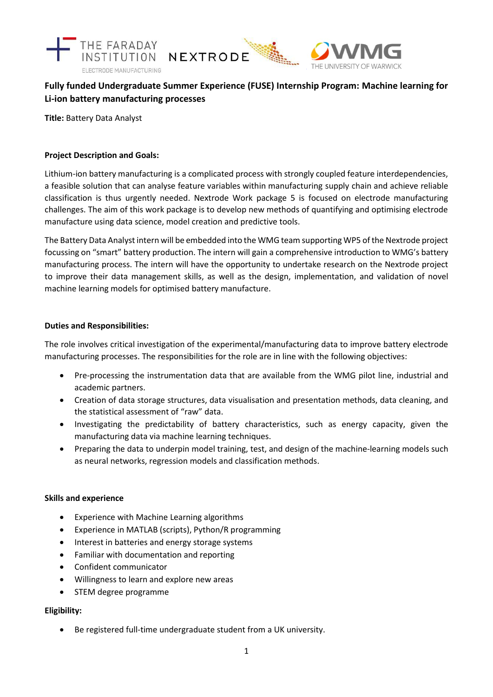

# **Fully funded Undergraduate Summer Experience (FUSE) Internship Program: Machine learning for Li-ion battery manufacturing processes**

**Title:** Battery Data Analyst

## **Project Description and Goals:**

Lithium-ion battery manufacturing is a complicated process with strongly coupled feature interdependencies, a feasible solution that can analyse feature variables within manufacturing supply chain and achieve reliable classification is thus urgently needed. Nextrode Work package 5 is focused on electrode manufacturing challenges. The aim of this work package is to develop new methods of quantifying and optimising electrode manufacture using data science, model creation and predictive tools.

The Battery Data Analyst intern will be embedded into the WMG team supporting WP5 of the Nextrode project focussing on "smart" battery production. The intern will gain a comprehensive introduction to WMG's battery manufacturing process. The intern will have the opportunity to undertake research on the Nextrode project to improve their data management skills, as well as the design, implementation, and validation of novel machine learning models for optimised battery manufacture.

## **Duties and Responsibilities:**

The role involves critical investigation of the experimental/manufacturing data to improve battery electrode manufacturing processes. The responsibilities for the role are in line with the following objectives:

- Pre-processing the instrumentation data that are available from the WMG pilot line, industrial and academic partners.
- Creation of data storage structures, data visualisation and presentation methods, data cleaning, and the statistical assessment of "raw" data.
- Investigating the predictability of battery characteristics, such as energy capacity, given the manufacturing data via machine learning techniques.
- Preparing the data to underpin model training, test, and design of the machine-learning models such as neural networks, regression models and classification methods.

## **Skills and experience**

- Experience with Machine Learning algorithms
- Experience in MATLAB (scripts), Python/R programming
- Interest in batteries and energy storage systems
- Familiar with documentation and reporting
- Confident communicator
- Willingness to learn and explore new areas
- STEM degree programme

## **Eligibility:**

• Be registered full-time undergraduate student from a UK university.